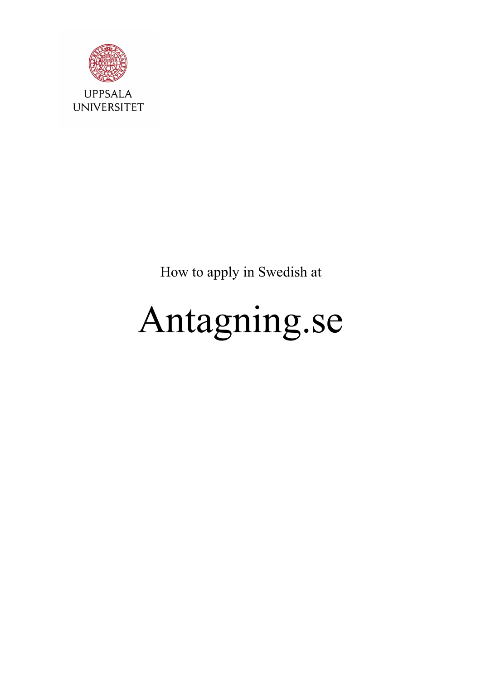

How to apply in Swedish at

# Antagning.se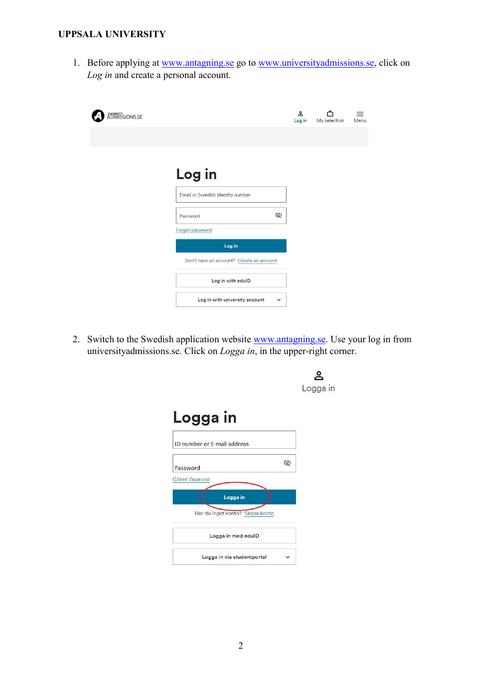1. Before applying at www.antagning.se go to www.universityadmissions.se, click on Log in and create a personal account.

| UNIVERSITY<br>ADMISSIONS.SE |                                               | ≗<br>Log in | My selection | Menu |
|-----------------------------|-----------------------------------------------|-------------|--------------|------|
|                             |                                               |             |              |      |
|                             | Log in                                        |             |              |      |
|                             | Email or Swedish identity number              |             |              |      |
|                             | É<br>Password                                 |             |              |      |
|                             | Forgot password<br>Log in                     |             |              |      |
|                             | Don't have an account? Create an account      |             |              |      |
|                             | Log in with edulD                             |             |              |      |
|                             | Log in with university account<br>$\check{~}$ |             |              |      |

2. Switch to the Swedish application website **www.antagning.se**. Use your log in from universityadmissions.se. Click on *Logga in*, in the upper-right corner.

|                                                               | Logga in |
|---------------------------------------------------------------|----------|
| Logga in                                                      |          |
| <b>ID number or E-mail address</b>                            |          |
| 72<br>Password                                                |          |
| Glömt lösenord<br>Logga in<br>Har du inget konto? Skapa konto |          |
| Logga in med edulD                                            |          |
| Logga in via studentportal                                    |          |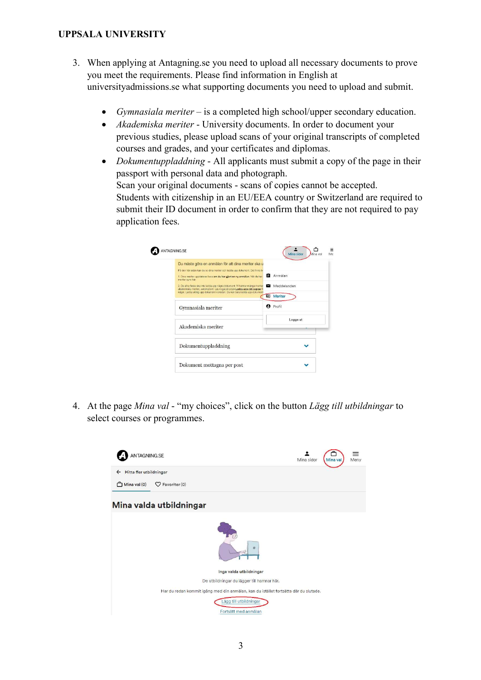- 3. When applying at Antagning.se you need to upload all necessary documents to prove you meet the requirements. Please find information in English at universityadmissions.se what supporting documents you need to upload and submit.
	- Gymnasiala meriter is a completed high school/upper secondary education.
	- Akademiska meriter University documents. In order to document your previous studies, please upload scans of your original transcripts of completed courses and grades, and your certificates and diplomas.
	- *Dokumentuppladdning* All applicants must submit a copy of the page in their passport with personal data and photograph. Scan your original documents - scans of copies cannot be accepted. Students with citizenship in an EU/EEA country or Switzerland are required to submit their ID document in order to confirm that they are not required to pay application fees.

| Du måste göra en anmälan för att dina meriter ska u                                                                                                                                                                                      |                  |
|------------------------------------------------------------------------------------------------------------------------------------------------------------------------------------------------------------------------------------------|------------------|
| På den här sidan kan du se dina meriter och ladda upp dokument. Det finns tv<br>1. Dina menter uppdateras bara om du har gjort en ny anmälan. När du har<br>menter syns har                                                              | <b>B</b> Anmälan |
| 2. De allra flesta ska inte ladda upp några dokument. Vi hamtar många meriter<br>akademiska meriter, automatiskt. Läs noga på sidan Ladda upp rätt papper f<br>något. Ladda aldrig upp dokument i onödan. Du kan bara ladda upp dokument | Meddelanden      |
|                                                                                                                                                                                                                                          | <b>国 Meriter</b> |
| Gymnasiala meriter                                                                                                                                                                                                                       | <b>A</b> Profil  |
|                                                                                                                                                                                                                                          | Logga ut         |
| Akademiska meriter                                                                                                                                                                                                                       |                  |
| Dokumentuppladdning                                                                                                                                                                                                                      |                  |

4. At the page Mina val - "my choices", click on the button Lägg till utbildningar to select courses or programmes.

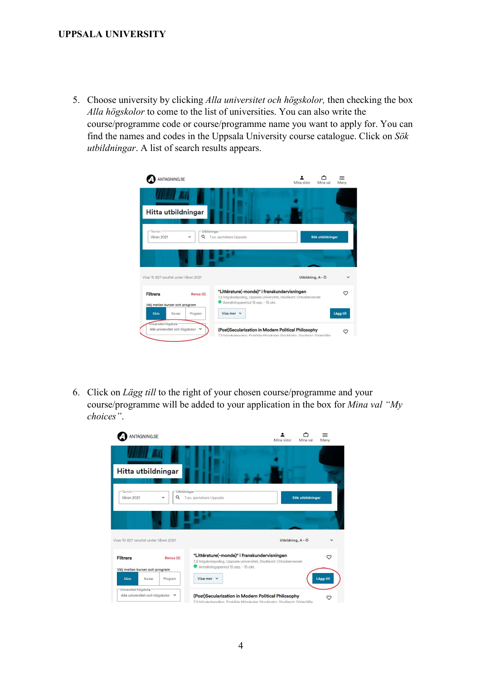5. Choose university by clicking Alla universitet och högskolor, then checking the box Alla högskolor to come to the list of universities. You can also write the course/programme code or course/programme name you want to apply for. You can find the names and codes in the Uppsala University course catalogue. Click on Sök utbildningar. A list of search results appears.

| ANTAGNING.SE                                           |                   | Mina sidor<br>Mina val                                                                                                                                 | Meny      |
|--------------------------------------------------------|-------------------|--------------------------------------------------------------------------------------------------------------------------------------------------------|-----------|
| Hitta utbildningar                                     |                   |                                                                                                                                                        |           |
| Termin:<br>Våren 2021                                  | Utbildningar<br>Q | T.ex. apotekare Uppsala<br>Sök utbildningar                                                                                                            |           |
| Visar 10 827 resultat under Våren 2021                 |                   | Utbildning, A - Ö                                                                                                                                      |           |
| <b>Filtrera</b><br>Välj mellan kurser och program      | Rensa (0)         | "Littérature(-monde)" i franskundervisningen<br>7,5 högskolepoäng, Uppsala universitet, Studieort: Ortsoberoende<br>Anmälningsperiod 15 sep. - 15 okt. | ♡         |
| Båda<br>Kurser                                         | Program           | Visa mer $\vee$                                                                                                                                        | Lägg till |
| Universitet/högskola<br>Alla universitet och högskolor | $\checkmark$      | (Post)Secularization in Modern Political Philosophy<br>7.5 högskolenoäng. Enskilda Högskolan Stockholm, Studieort: Södertälie                          |           |

6. Click on Lägg till to the right of your chosen course/programme and your course/programme will be added to your application in the box for Mina val "My choices".

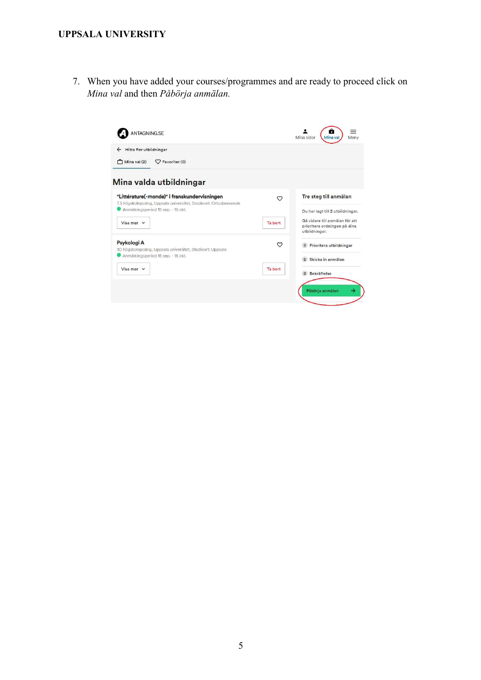7. When you have added your courses/programmes and are ready to proceed click on Mina val and then Påbörja anmälan.

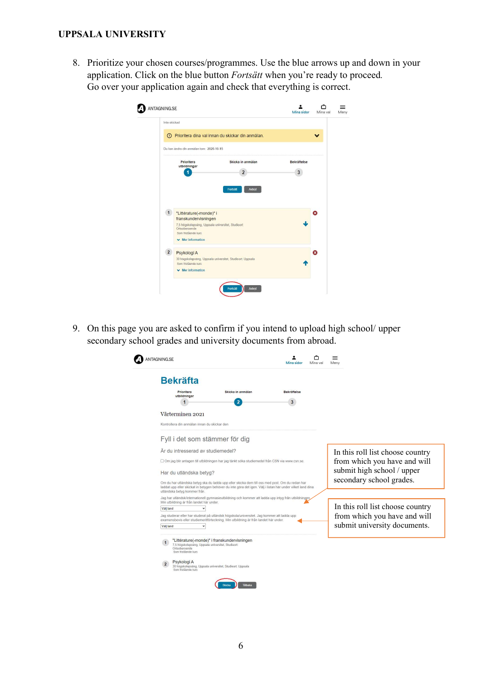8. Prioritize your chosen courses/programmes. Use the blue arrows up and down in your application. Click on the blue button Fortsätt when you're ready to proceed. Go over your application again and check that everything is correct.

| Inte skickad   |                                                                                                                                               | (!) Prioritera dina val innan du skickar din anmälan.     |                         |   |
|----------------|-----------------------------------------------------------------------------------------------------------------------------------------------|-----------------------------------------------------------|-------------------------|---|
|                | Du kan ändra din anmälan tom: 2020-10-15                                                                                                      |                                                           |                         |   |
|                | Prioritera<br>utbildningar                                                                                                                    | Skicka in anmälan<br>$\overline{2}$                       | <b>Bekräftelse</b><br>3 |   |
|                |                                                                                                                                               | Fortsätt<br>Avbryt                                        |                         |   |
| 1              | "Littérature(-monde)" i<br>franskundervisningen<br>7,5 högskolepoäng, Uppsala universitet, Studieort:<br>Ortsoberoende<br>Som fristående kurs |                                                           |                         | œ |
| $\overline{2}$ | $\vee$ Mer information<br>Psykologi A<br>Som fristående kurs                                                                                  | 30 högskolepoäng, Uppsala universitet, Studieort: Uppsala |                         | ☎ |

9. On this page you are asked to confirm if you intend to upload high school/ upper secondary school grades and university documents from abroad.

| <b>Prioritera</b><br>utbildningar                                   | Skicka in anmälan                                                                                                                                                                                             | <b>Bekräftelse</b> |                                  |  |
|---------------------------------------------------------------------|---------------------------------------------------------------------------------------------------------------------------------------------------------------------------------------------------------------|--------------------|----------------------------------|--|
|                                                                     | 2                                                                                                                                                                                                             | 3                  |                                  |  |
| Vårterminen 2021                                                    |                                                                                                                                                                                                               |                    |                                  |  |
| Kontrollera din anmälan innan du skickar den                        |                                                                                                                                                                                                               |                    |                                  |  |
| Fyll i det som stämmer för dig                                      |                                                                                                                                                                                                               |                    |                                  |  |
| Är du intresserad av studiemedel?                                   |                                                                                                                                                                                                               |                    | In this roll list choose country |  |
|                                                                     | Om jag blir antagen till utbildningen har jag tänkt söka studiemedel från CSN via www.csn.se.                                                                                                                 |                    | from which you have and will     |  |
| Har du utländska betyg?                                             |                                                                                                                                                                                                               |                    | submit high school / upper       |  |
| utländska betyg kommer från.                                        | Om du har utländska betyg ska du ladda upp eller skicka dem till oss med post. Om du redan har<br>laddat upp eller skickat in betygen behöver du inte göra det igen. Välj i listan här under vilket land dina |                    | secondary school grades.         |  |
| Min utbildning är från landet här under.                            | Jag har utländsk/internationell gymnasieutbildning och kommer att ladda upp intyg från utbildningen                                                                                                           |                    |                                  |  |
| Väli land                                                           |                                                                                                                                                                                                               |                    | In this roll list choose country |  |
|                                                                     | Jag studerar eller har studerat på utländsk högskola/universitet. Jag kommer att ladda upp<br>examensbevis eller studiemeritförteckning. Min utbildning är från landet här under.                             |                    | from which you have and will     |  |
| Väli land<br>$\check{ }$                                            |                                                                                                                                                                                                               |                    | submit university documents.     |  |
| 7,5 högskolepoäng, Uppsala universitet, Studieort.<br>Ortsoberoende | "Littérature(-monde)" i franskundervisningen                                                                                                                                                                  |                    |                                  |  |